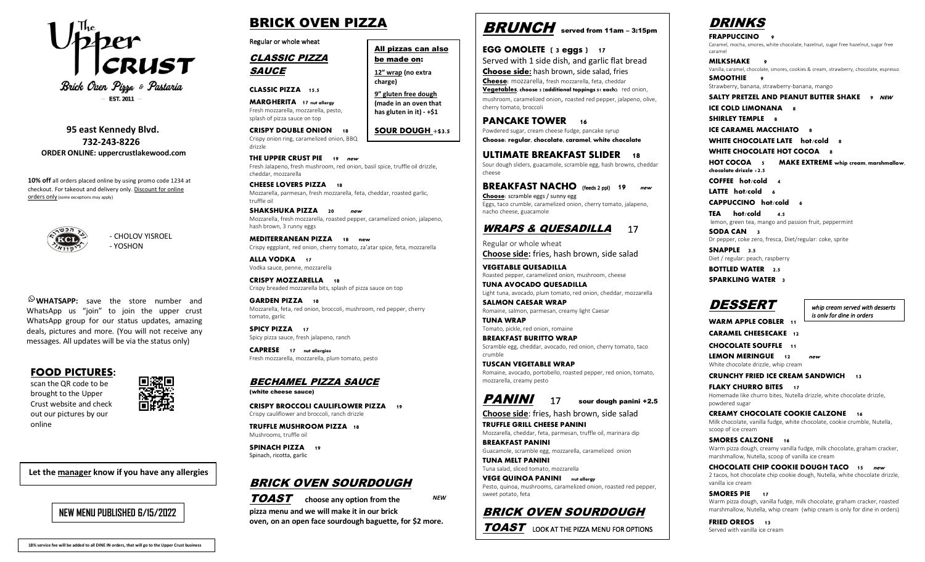

Brick Oven Pirra & Pastaria **EST. 2011** 

 **95 east Kennedy Blvd. 732-243-8226 ORDER ONLINE: uppercrustlakewood.com**

**10% off** all orders placed online by using promo code 1234 at checkout. For takeout and delivery only. Discount for online orders only (some exceptions may apply)



- CHOLOV YISROEL - YOSHON

**WHATSAPP:** save the store number and WhatsApp us "join" to join the upper crust WhatsApp group for our status updates, amazing deals, pictures and more. (You will not receive any messages. All updates will be via the status only)

#### **FOOD PICTURES:**

scan the QR code to be brought to the Upper Crust website and check out our pictures by our online

**Let the manager know if you have any allergies**

### **NEW MENU PUBLISHED 6/15/2022**

# BRICK OVEN PIZZA

Regular or whole wheat

CLASSIC PIZZA **SAUCE** 

**CLASSIC PIZZA 15.5**

drizzle

**MARGHERITA 17** nut allergy Fresh mozzarella, mozzarella, pesto, splash of pizza sauce on top

**CRISPY DOUBLE ONION 18** Crispy onion ring, caramelized onion, BBQ **SOUR DOUGH +\$3.5**

**charge)**

All pizzas can also be made on: **12" wrap (no extra** 

**9" gluten free dough (made in an oven that has gluten in it) - +\$1**

**THE UPPER CRUST PIE 19 new** Fresh Jalapeno, fresh mushroom, red onion, basil spice, truffle oil drizzle, cheddar, mozzarella

**CHEESE LOVERS PIZZA 18**  Mozzarella, parmesan, fresh mozzarella, feta, cheddar, roasted garlic, truffle oil

**SHAKSHUKA PIZZA 20 new** Mozzarella, fresh mozzarella, roasted pepper, caramelized onion, jalapeno, hash brown, 3 runny eggs

**MEDITERRANEAN PIZZA 18 new** Crispy eggplant, red onion, cherry tomato, za'atar spice, feta, mozzarella

**ALLA VODKA 17** Vodka sauce, penne, mozzarella

**CRISPY MOZZARELLA 18** Crispy breaded mozzarella bits, splash of pizza sauce on top

**GARDEN PIZZA 18** Mozzarella, feta, red onion, broccoli, mushroom, red pepper, cherry tomato, garlic

**SPICY PIZZA 17** Spicy pizza sauce, fresh jalapeno, ranch

**CAPRESE 17** nut allergies Fresh mozzarella, mozzarella, plum tomato, pesto

#### BECHAMEL PIZZA SAUCE

(white cheese sauce)

**CRISPY BROCCOLI CAULIFLOWER PIZZA 19** Crispy cauliflower and broccoli, ranch drizzle

**TRUFFLE MUSHROOM PIZZA 18** Mushrooms, truffle oil

**SPINACH PIZZA 19** Spinach, ricotta, garlic

#### BRICK OVEN SOURDOUGH

TOAST **choose any option from the pizza menu and we will make it in our brick oven, on an open face sourdough baguette, for \$2 more.**

*NEW*



**EGG OMOLETE (** 3 eggs ) **17** Served with 1 side dish, and garlic flat bread **Choose side:** hash brown, side salad, fries **Cheese:** mozzarella, fresh mozzarella, feta, cheddar Vegetables, choose 3 (additional toppings \$1 each): red onion, mushroom, caramelized onion, roasted red pepper, jalapeno, olive, cherry tomato, broccoli

**PANCAKE TOWER 16** Powdered sugar, cream cheese fudge, pancake syrup **Choose:** regular, chocolate, caramel, white chocolate

**ULTIMATE BREAKFAST SLIDER** 18 Sour dough sliders, guacamole, scramble egg, hash browns, cheddar cheese

**BREAKFAST NACHO** (feeds 2 ppl) **19 new** Choose: scramble eggs / sunny egg Eggs, taco crumble, caramelized onion, cherry tomato, jalapeno, nacho cheese, guacamole

#### WRAPS & QUESADILLA 17

Regular or whole wheat **Choose side:** fries, hash brown, side salad

**VEGETABLE QUESADILLA**  Roasted pepper, caramelized onion, mushroom, cheese

**TUNA AVOCADO QUESADILLA**  Light tuna, avocado, plum tomato, red onion, cheddar, mozzarella

**SALMON CAESAR WRAP**  Romaine, salmon, parmesan, creamy light Caesar

**TUNA WRAP**  Tomato, pickle, red onion, romaine **BREAKFAST BURITTO WRAP**

Scramble egg, cheddar, avocado, red onion, cherry tomato, taco crumble

**TUSCAN VEGETABLE WRAP** Romaine, avocado, portobello, roasted pepper, red onion, tomato, mozzarella, creamy pesto

# PANINI 17 sour dough panini +2.5

**Choose side**: fries, hash brown, side salad

**TRUFFLE GRILL CHEESE PANINI** Mozzarella, cheddar, feta, parmesan, truffle oil, marinara dip

**BREAKFAST PANINI** Guacamole, scramble egg, mozzarella, caramelized onion

**TUNA MELT PANINI** Tuna salad, sliced tomato, mozzarella

**VEGE QUINOA PANINI** nut allergy Pesto, quinoa, mushrooms, caramelized onion, roasted red pepper, sweet potato, feta

#### BRICK OVEN SOURDOUGH

**TOAST** LOOK AT THE PIZZA MENU FOR OPTIONS

# DRINKS

**FRAPPUCCINO 9** Caramel, mocha, smores, white chocolate, hazelnut, sugar free hazelnut, sugar free caramel

**MILKSHAKE 9** Vanilla, caramel, chocolate, smores, cookies & cream, strawberry, chocolate, espresso **SMOOTHIE** 9

Strawberry, banana, strawberry-banana, mango

**SALTY PRETZEL AND PEANUT BUTTER SHAKE 9 NEW**

**ICE COLD LIMONANA** 8

**SHIRLEY TEMPLE** 8

**ICE CARAMEL MACCHIATO** 8

**WHITE CHOCOLATE LATE hot/cold 8**

**WHITE CHOCOLATE HOT COCOA** 8

**HOT COCOA 5 MAKE EXTREME whip** cream, marshmallow, chocolate drizzle +**2.5** 

**COFFEE hot/cold 4**

**LATTE hot/cold 6**

**CAPPUCCINO hot/cold 6**

**TEA hot/cold 4.5** lemon, green tea, mango and passion fruit, peppermint

**SODA CAN 3** Dr pepper, coke zero, fresca, Diet/regular: coke, sprite

**SNAPPLE 3.5** Diet / regular: peach, raspberry

**BOTTLED WATER 2.5**

**SPARKLING WATER 3**

## **DESSERT**

*whip cream served with desserts is only for dine in orders*

**WARM APPLE COBLER 11** 

**CARAMEL CHEESECAKE 12**

**CHOCOLATE SOUFFLE 11**

**LEMON MERINGUE 12** new White chocolate drizzle, whip cream

**CRUNCHY FRIED ICE CREAM SANDWICH 13**

**FLAKY CHURRO BITES** 17 Homemade like churro bites, Nutella drizzle, white chocolate drizzle, powdered sugar

**CREAMY CHOCOLATE COOKIE CALZONE 16**  Milk chocolate, vanilla fudge, white chocolate, cookie crumble, Nutella, scoop of ice cream

**SMORES CALZONE 16** 

Warm pizza dough, creamy vanilla fudge, milk chocolate, graham cracker, marshmallow, Nutella, scoop of vanilla ice cream

**CHOCOLATE CHIP COOKIE DOUGH TACO 15 new** 2 tacos, hot chocolate chip cookie dough, Nutella, white chocolate drizzle, vanilla ice cream

**SMORES PIE** 17 Warm pizza dough, vanilla fudge, milk chocolate, graham cracker, roasted marshmallow, Nutella, whip cream (whip cream is only for dine in orders)

**FRIED OREOS** 13 Served with vanilla ice cream